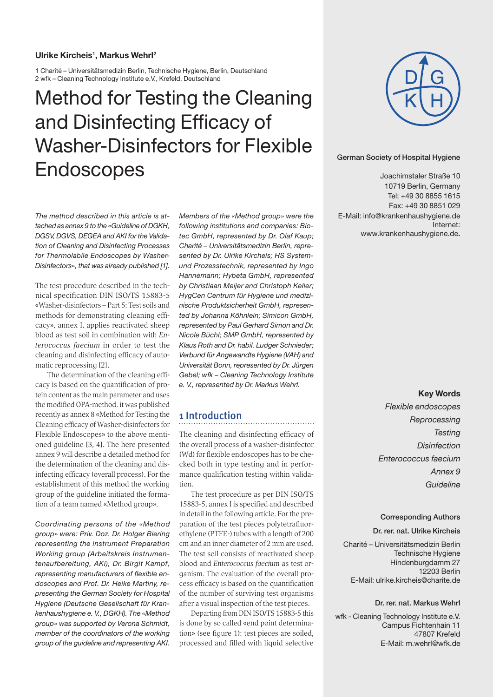#### **Ulrike Kircheis1 , Markus Wehrl2**

1 Charité – Universitätsmedizin Berlin, Technische Hygiene, Berlin, Deutschland 2 wfk – Cleaning Technology Institute e.V., Krefeld, Deutschland

# Method for Testing the Cleaning and Disinfecting Efficacy of Washer-Disinfectors for Flexible Endoscopes



German Society of Hospital Hygiene

 $\frac{1}{2}$ 10719 Berlin, Germany Tel: +49 30 8855 1615 Fax: +49 30 8851 029 E-Mail: info@krankenhaushygiene.de German Society of Hospital Hygiene<br>
Joachimstaler Straße 10<br>
10719 Berlin, Germany<br>
Tel: +49 30 8855 16159<br>
E-Mail: info@krankenhaushygiene.de<br>
Internet:<br>
www.krankenhaushygiene.de.<br>
Internet:<br>
www.krankenhaushygiene.de.<br> Joachimstaler Straße 10 Internet: www.krankenhaushygiene.de.

*The method described in this article is attached as annex 9 to the «Guideline of DGKH, DGSV, DGVS, DEGEA and AKI for the Validation of Cleaning and Disinfecting Processes for Thermolabile Endoscopes by Washer-Disinfectors», that was already published [1].*

The test procedure described in the technical specification DIN ISO/TS 15883-5 «Washer-disinfectors – Part 5: Test soils and methods for demonstrating cleaning efficacy», annex I, applies reactivated sheep blood as test soil in combination with Enterococcus faecium in order to test the cleaning and disinfecting efficacy of automatic reprocessing [2].

The determination of the cleaning efficacy is based on the quantification of protein content as the main parameter and uses the modified OPA-method. it was published recently as annex 8 «Method for Testing the Cleaning efficacy of Washer-disinfectors for Flexible Endoscopes» to the above mentioned guideline [3, 4]. The here presented annex 9 will describe a detailed method for the determination of the cleaning and disinfecting efficacy (overall process). For the establishment of this method the working group of the guideline initiated the formation of a team named «Method group».

*Coordinating persons of the «Method group» were: Priv. Doz. Dr. Holger Biering representing the instrument Preparation Working group (Arbeitskreis Instrumentenaufbereitung, AKi), Dr. Birgit Kampf, representing manufacturers of flexible endoscopes and Prof. Dr. Heike Martiny, representing the German Society for Hospital Hygiene (Deutsche Gesellschaft für Krankenhaushygiene e. V., DGKH). The «Method group» was supported by Verona Schmidt, member of the coordinators of the working group of the guideline and representing AKI.* 

*Members of the «Method group» were the following institutions and companies: Biotec GmbH, represented by Dr. Olaf Kaup; Charité – Universitätsmedizin Berlin, represented by Dr. Ulrike Kircheis; HS Systemund Prozesstechnik, represented by Ingo Hannemann; Hybeta GmbH, represented by Christiaan Meijer and Christoph Keller; HygCen Centrum für Hygiene und medizinische Produktsicherheit GmbH, represented by Johanna Köhnlein; Simicon GmbH, represented by Paul Gerhard Simon and Dr. Nicole Büchl; SMP GmbH, represented by Klaus Roth and Dr. habil. Ludger Schnieder; Verbund für Angewandte Hygiene (VAH) and Universität Bonn, represented by Dr. Jürgen Gebel; wfk – Cleaning Technology Institute e. V., represented by Dr. Markus Wehrl.* 

# 1 Introduction

The cleaning and disinfecting efficacy of the overall process of a washer-disinfector (Wd) for flexible endoscopes has to be checked both in type testing and in performance qualification testing within validation.

The test procedure as per DIN ISO/TS 15883-5, annex I is specified and described in detail in the following article. For the preparation of the test pieces polytetrafluorethylene (PTFE-) tubes with a length of 200 cm and an inner diameter of 2 mm are used. The test soil consists of reactivated sheep blood and Enterococcus faecium as test organism. The evaluation of the overall process efficacy is based on the quantification of the number of surviving test organisms after a visual inspection of the test pieces.

Departing from DIN ISO/TS 15883-5 this is done by so called «end point determination» (see figure 1): test pieces are soiled, processed and filled with liquid selective

#### **Key Words**

*Flexible endoscopes Reprocessing Testing Disinfection Enterococcus faecium Annex 9 Guideline*

#### Corresponding Authors

#### Dr. rer. nat. Ulrike Kircheis

Technische Hygiene Hindenburgdamm 27 German Society of Hospital Hygiene 12203 Berlin E-Mail: ulrike.kircheis@charite.de Charité – Universitätsmedizin Berlin

#### Dr. rer. nat. Markus Wehrl

wfk - Cleaning Technology Institute e.V. E-Mail: Campus Fichtenhain 11 47807 Krefeld E-Mail: m.wehrl@wfk.de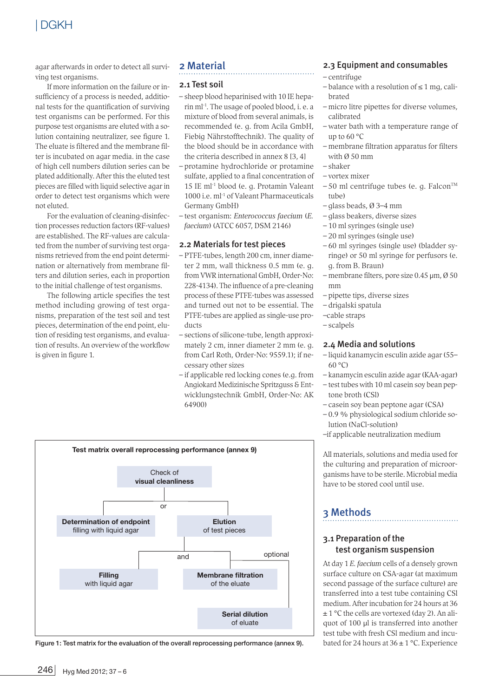# | DGKH

agar afterwards in order to detect all surviving test organisms.

If more information on the failure or insufficiency of a process is needed, additional tests for the quantification of surviving test organisms can be performed. For this purpose test organisms are eluted with a solution containing neutralizer, see figure 1. The eluate is filtered and the membrane filter is incubated on agar media. in the case of high cell numbers dilution series can be plated additionally. After this the eluted test pieces are filled with liquid selective agar in order to detect test organisms which were not eluted.

For the evaluation of cleaning-disinfection processes reduction factors (RF-values) are established. The RF-values are calculated from the number of surviving test organisms retrieved from the end point determination or alternatively from membrane filters and dilution series, each in proportion to the initial challenge of test organisms.

The following article specifies the test method including growing of test organisms, preparation of the test soil and test pieces, determination of the end point, elution of residing test organisms, and evaluation of results. An overview of the workflow is given in figure 1.

# 2 Material

#### 2.1 Test soil

- sheep blood heparinised with 10 IE heparin ml-1. The usage of pooled blood, i. e. a mixture of blood from several animals, is recommended (e. g. from Acila GmbH, Fiebig Nährstofftechnik). The quality of the blood should be in accordance with the criteria described in annex 8 [3, 4]
- protamine hydrochloride or protamine sulfate, applied to a final concentration of 15 IE ml-1 blood (e. g. Protamin Valeant 1000 i.e. ml-1 of Valeant Pharmaceuticals Germany GmbH)
- test organism: Enterococcus faecium (E. faecium) (ATCC 6057, DSM 2146)

#### 2.2 Materials for test pieces

- PTFE-tubes, length 200 cm, inner diameter 2 mm, wall thickness 0.5 mm (e. g. from VWR international GmbH, Order-No: 228-4134). The influence of a pre-cleaning process of these PTFE-tubes was assessed and turned out not to be essential. The PTFE-tubes are applied as single-use products
- sections of silicone-tube, length approximately 2 cm, inner diameter 2 mm (e. g. from Carl Roth, Order-No: 9559.1); if necessary other sizes
- if applicable red locking cones (e.g. from Angiokard Medizinische Spritzguss & Entwicklungstechnik GmbH, Order-No: AK 64900)



Figure 1: Test matrix for the evaluation of the overall reprocessing performance (annex 9).

#### 2.3 Equipment and consumables

- centrifuge
- $-$  balance with a resolution of  $\leq 1$  mq, calibrated
- micro litre pipettes for diverse volumes, calibrated
- water bath with a temperature range of up to 60 °C
- membrane filtration apparatus for filters with Ø 50 mm
- shaker
- vortex mixer
- $-50$  ml centrifuge tubes (e. g. Falcon<sup>TM</sup> tube)
- glass beads, Ø 3–4 mm
- glass beakers, diverse sizes
- 10 ml syringes (single use)
- 20 ml syringes (single use)
- 60 ml syringes (single use) (bladder syringe) or 50 ml syringe for perfusors (e. g. from B. Braun)
- membrane filters, pore size 0.45 µm, Ø 50 mm
- pipette tips, diverse sizes
- drigalski spatula
- –cable straps
- scalpels

#### 2.4 Media and solutions

- liquid kanamycin esculin azide agar (55–  $60°C$
- kanamycin esculin azide agar (KAA-agar)
- test tubes with 10 ml casein soy bean peptone broth (CSl)
- casein soy bean peptone agar (CSA)
- 0.9 % physiological sodium chloride solution (NaCl-solution)
- –if applicable neutralization medium

All materials, solutions and media used for the culturing and preparation of microorganisms have to be sterile. Microbial media have to be stored cool until use.

# 3 Methods

#### 3.1 Preparation of the test organism suspension

At day 1 E. faecium cells of a densely grown surface culture on CSA-agar (at maximum second passage of the surface culture) are transferred into a test tube containing CSl medium. After incubation for 24 hours at 36 ± 1 °C the cells are vortexed (day 2). An aliquot of 100 ul is transferred into another test tube with fresh CSl medium and incubated for 24 hours at  $36 \pm 1$  °C. Experience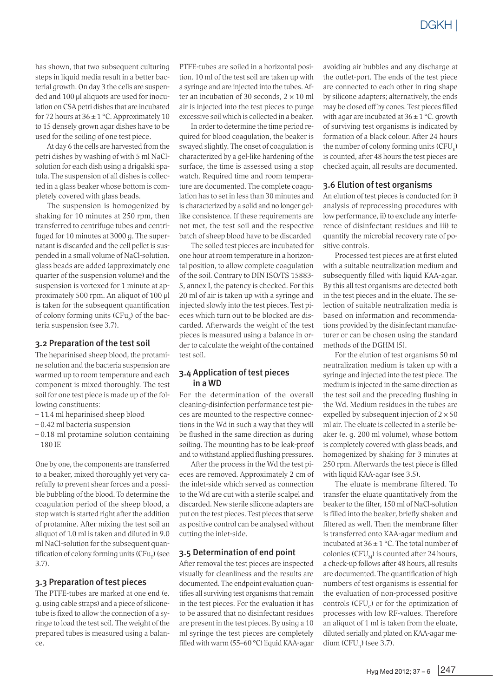has shown, that two subsequent culturing steps in liquid media result in a better bacterial growth. On day 3 the cells are suspended and 100 µl aliquots are used for inoculation on CSA petri dishes that are incubated for 72 hours at  $36 \pm 1$  °C. Approximately 10 to 15 densely grown agar dishes have to be used for the soiling of one test piece.

At day 6 the cells are harvested from the petri dishes by washing of with 5 ml NaClsolution for each dish using a drigalski spatula. The suspension of all dishes is collected in a glass beaker whose bottom is completely covered with glass beads.

The suspension is homogenized by shaking for 10 minutes at 250 rpm, then transferred to centrifuge tubes and centrifuged for 10 minutes at 3000 g. The supernatant is discarded and the cell pellet is suspended in a small volume of NaCl-solution. glass beads are added (approximately one quarter of the suspension volume) and the suspension is vortexed for 1 minute at approximately 500 rpm. An aliquot of 100 µl is taken for the subsequent quantification of colony forming units  $(CFu_{o})$  of the bacteria suspension (see 3.7).

#### 3.2 Preparation of the test soil

The heparinised sheep blood, the protamine solution and the bacteria suspension are warmed up to room temperature and each component is mixed thoroughly. The test soil for one test piece is made up of the following constituents:

- 11.4 ml heparinised sheep blood
- 0.42 ml bacteria suspension
- 0.18 ml protamine solution containing 180 IE

One by one, the components are transferred to a beaker, mixed thoroughly yet very carefully to prevent shear forces and a possible bubbling of the blood. To determine the coagulation period of the sheep blood, a stop watch is started right after the addition of protamine. After mixing the test soil an aliquot of 1.0 ml is taken and diluted in 9.0 ml NaCl-solution for the subsequent quantification of colony forming units  $(CFu<sub>r</sub>)$  (see 3.7).

#### 3.3 Preparation of test pieces

The PTFE-tubes are marked at one end (e. g. using cable straps) and a piece of siliconetube is fixed to allow the connection of a syringe to load the test soil. The weight of the prepared tubes is measured using a balance.

PTFE-tubes are soiled in a horizontal position. 10 ml of the test soil are taken up with a syringe and are injected into the tubes. After an incubation of 30 seconds,  $2 \times 10$  ml air is injected into the test pieces to purge excessive soil which is collected in a beaker.

In order to determine the time period required for blood coagulation, the beaker is swayed slightly. The onset of coagulation is characterized by a gel-like hardening of the surface, the time is assessed using a stop watch. Required time and room temperature are documented. The complete coagulation has to set in less than 30 minutes and is characterized by a solid and no longer gellike consistence. If these requirements are not met, the test soil and the respective batch of sheep blood have to be discarded

The soiled test pieces are incubated for one hour at room temperature in a horizontal position, to allow complete coagulation of the soil. Contrary to DIN ISO/TS 15883- 5, annex I, the patency is checked. For this 20 ml of air is taken up with a syringe and injected slowly into the test pieces. Test pieces which turn out to be blocked are discarded. Afterwards the weight of the test pieces is measured using a balance in order to calculate the weight of the contained test soil.

#### 3.4 Application of test pieces in a WD

For the determination of the overall cleaning-disinfection performance test pieces are mounted to the respective connections in the Wd in such a way that they will be flushed in the same direction as during soiling. The mounting has to be leak-proof and to withstand applied flushing pressures.

After the process in the Wd the test pieces are removed. Approximately 2 cm of the inlet-side which served as connection to the Wd are cut with a sterile scalpel and discarded. New sterile silicone adapters are put on the test pieces. Test pieces that serve as positive control can be analysed without cutting the inlet-side.

#### 3.5 Determination of end point

After removal the test pieces are inspected visually for cleanliness and the results are documented. The endpoint evaluation quantifies all surviving test organisms that remain in the test pieces. For the evaluation it has to be assured that no disinfectant residues are present in the test pieces. By using a 10 ml syringe the test pieces are completely filled with warm (55–60 °C) liquid KAA-agar

avoiding air bubbles and any discharge at the outlet-port. The ends of the test piece are connected to each other in ring shape by silicone adapters; alternatively, the ends may be closed off by cones. Test pieces filled with agar are incubated at  $36 \pm 1$  °C. growth of surviving test organisms is indicated by formation of a black colour. After 24 hours the number of colony forming units  $(CFU<sub>n</sub>)$ is counted, after 48 hours the test pieces are checked again, all results are documented.

#### 3.6 Elution of test organisms

An elution of test pieces is conducted for: i) analysis of reprocessing procedures with low performance, ii) to exclude any interference of disinfectant residues and iii) to quantify the microbial recovery rate of positive controls.

Processed test pieces are at first eluted with a suitable neutralization medium and subsequently filled with liquid KAA-agar. By this all test organisms are detected both in the test pieces and in the eluate. The selection of suitable neutralization media is based on information and recommendations provided by the disinfectant manufacturer or can be chosen using the standard methods of the DGHM [5].

For the elution of test organisms 50 ml neutralization medium is taken up with a syringe and injected into the test piece. The medium is injected in the same direction as the test soil and the preceding flushing in the Wd. Medium residues in the tubes are expelled by subsequent injection of  $2 \times 50$ ml air. The eluate is collected in a sterile beaker (e. g. 200 ml volume), whose bottom is completely covered with glass beads, and homogenized by shaking for 3 minutes at 250 rpm. Afterwards the test piece is filled with liquid KAA-agar (see 3.5).

The eluate is membrane filtered. To transfer the eluate quantitatively from the beaker to the filter, 150 ml of NaCl-solution is filled into the beaker, briefly shaken and filtered as well. Then the membrane filter is transferred onto KAA-agar medium and incubated at  $36 \pm 1$  °C. The total number of colonies (CFU $_{\text{M}}$ ) is counted after 24 hours, a check-up follows after 48 hours, all results are documented. The quantification of high numbers of test organisms is essential for the evaluation of non-processed positive controls  $(CFU<sub>e</sub>)$  or for the optimization of processes with low RF-values. Therefore an aliquot of 1 ml is taken from the eluate, diluted serially and plated on KAA-agar medium  $(CFU<sub>n</sub>)$  (see 3.7).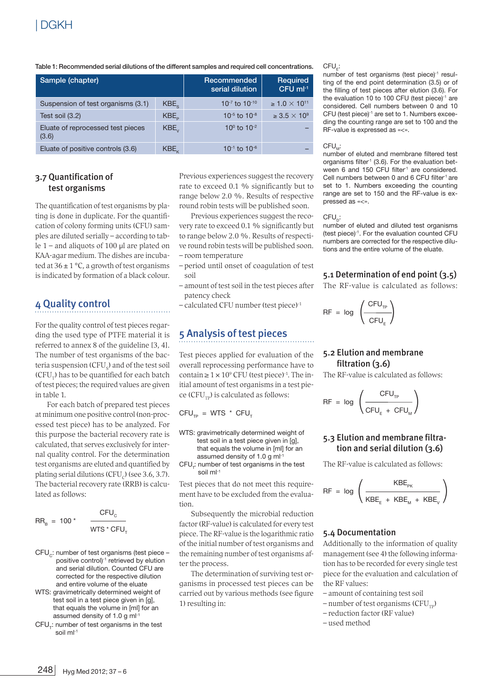Table 1: Recommended serial dilutions of the different samples and required cell concentrations. CFU<sub>E</sub>:

| Sample (chapter)                           |                    | Recommended<br>serial dilution | <b>Required</b><br>CFU ml <sup>-1</sup> |
|--------------------------------------------|--------------------|--------------------------------|-----------------------------------------|
| Suspension of test organisms (3.1)         | $KBE_{c}$          | 10-7 to 10-10                  | $\geq 1.0 \times 10^{11}$               |
| Test soil (3.2)                            | KBE <sub>n</sub>   | $10^{-5}$ to $10^{-8}$         | $\geq 3.5 \times 10^9$                  |
| Eluate of reprocessed test pieces<br>(3.6) | $KBE_{v}$          | 10 $^{\circ}$ to 10 $^{-2}$    |                                         |
| Eluate of positive controls (3.6)          | $KBE$ <sub>v</sub> | $10^{-1}$ to $10^{-6}$         |                                         |

#### 3.7 Quantification of test organisms

The quantification of test organisms by plating is done in duplicate. For the quantification of colony forming units (CFU) samples are diluted serially – according to table  $1$  – and aliquots of 100  $\mu$ l are plated on KAA-agar medium. The dishes are incubated at  $36 \pm 1$  °C, a growth of test organisms is indicated by formation of a black colour.

# 4 Quality control

For the quality control of test pieces regarding the used type of PTFE material it is referred to annex 8 of the guideline [3, 4]. The number of test organisms of the bacteria suspension  $(CFU<sub>c</sub>)$  and of the test soil  $(CFU<sub>T</sub>)$  has to be quantified for each batch of test pieces; the required values are given in table 1.

For each batch of prepared test pieces at minimum one positive control (non-processed test piece) has to be analyzed. For this purpose the bacterial recovery rate is calculated, that serves exclusively for internal quality control. For the determination test organisms are eluted and quantified by plating serial dilutions (CFU $_c$ ) (see 3.6, 3.7). The bacterial recovery rate (RRB) is calculated as follows:

$$
RR_{B} = 100 \times \frac{CFU_{C}}{WTS \times CFU_{T}}
$$

$$
\overline{\text{WTS} * \text{CFU}_{\tau}}
$$

- CFU<sub>c</sub>: number of test organisms (test piece positive control)-1 retrieved by elution and serial dilution. Counted CFU are corrected for the respective dilution and entire volume of the eluate
- WTS: gravimetrically determined weight of test soil in a test piece given in [g], that equals the volume in [ml] for an assumed density of 1.0  $\alpha$  ml<sup>-1</sup>
- CFU<sub>r</sub>: number of test organisms in the test soil ml<sup>-1</sup>

Previous experiences suggest the recovery rate to exceed 0.1 % significantly but to range below 2.0 %. Results of respective round robin tests will be published soon.

Previous experiences suggest the recovery rate to exceed 0.1 % significantly but to range below 2.0 %. Results of respective round robin tests will be published soon. – room temperature

- period until onset of coagulation of test soil
- amount of test soil in the test pieces after patency check
- calculated CFU number (test piece)-1

# 5 Analysis of test pieces

Test pieces applied for evaluation of the overall reprocessing performance have to contain  $\geq 1 \times 10^9$  CFU (test piece)<sup>-1</sup>. The initial amount of test organisms in a test piece ( $CFU<sub>TD</sub>$ ) is calculated as follows:

 $CFU_{TP}$  = WTS \* CFU<sub>T</sub>

WTS: gravimetrically determined weight of test soil in a test piece given in [g], that equals the volume in [ml] for an assumed density of 1.0 g ml-1

 $CFU<sub>r</sub>$ : number of test organisms in the test soil ml-1

Test pieces that do not meet this requirement have to be excluded from the evaluation.

Subsequently the microbial reduction factor (RF-value) is calculated for every test piece. The RF-value is the logarithmic ratio of the initial number of test organisms and the remaining number of test organisms after the process.

The determination of surviving test organisms in processed test pieces can be carried out by various methods (see figure 1) resulting in:

number of test organisms (test piece)-1 resulting of the end point determination (3.5) or of the filling of test pieces after elution (3.6). For the evaluation 10 to 100 CFU (test piece)-1 are considered. Cell numbers between 0 and 10 CFU (test piece)-1 are set to 1. Numbers exceeding the counting range are set to 100 and the RF-value is expressed as «<».

#### $CFU$ :

number of eluted and membrane filtered test organisms filter $1$  (3.6). For the evaluation between 6 and 150 CFU filter<sup>1</sup> are considered. Cell numbers between 0 and 6 CFU filter<sup>1</sup> are set to 1. Numbers exceeding the counting range are set to 150 and the RF-value is expressed as «<».

 $CFU_{p}$ :

number of eluted and diluted test organisms (test piece)-1. For the evaluation counted CFU numbers are corrected for the respective dilutions and the entire volume of the eluate.

#### 5.1 Determination of end point (3.5)

The RF-value is calculated as follows:

$$
RF = log \left( \frac{CFU_{TP}}{CFU_{E}} \right)
$$

#### 5.2 Elution and membrane filtration (3.6)

The RF-value is calculated as follows:

$$
RF = \log \left( \frac{CFU_{TP}}{CFU_{E} + CFU_{M}} \right)
$$

#### 5.3 Elution and membrane filtration and serial dilution (3.6)

The RF-value is calculated as follows:

$$
\mathsf{RF}~=~\log~\left(\frac{\mathsf{KBE}_{\mathsf{PK}}}{\mathsf{KBE}_{\mathsf{E}}~+~\mathsf{KBE}_{\mathsf{M}}~+~\mathsf{KBE}_{\mathsf{V}}}\right)
$$

#### 5.4 Documentation

Additionally to the information of quality management (see 4) the following information has to be recorded for every single test piece for the evaluation and calculation of the RF values:

- amount of containing test soil
- $-$  number of test organisms (CFU<sub>rm</sub>)
- reduction factor (RF value)
- used method